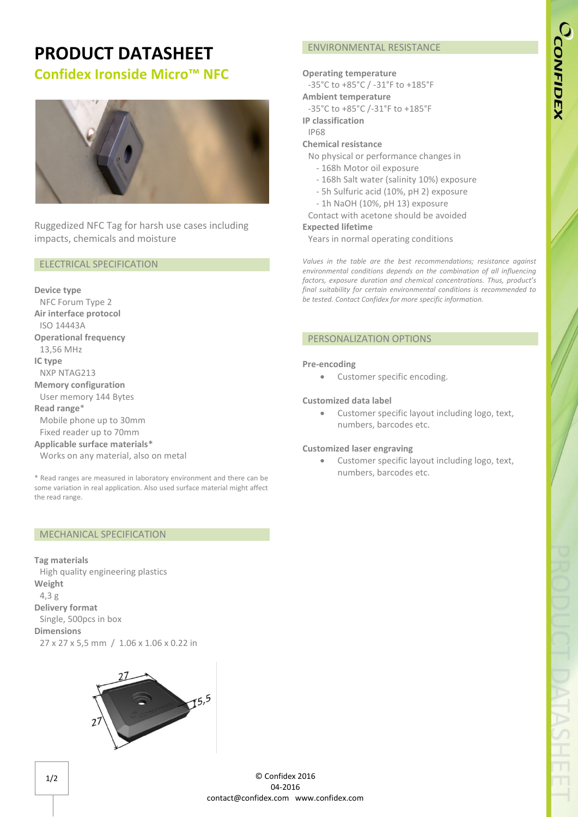# **PRODUCT DATASHEET**

# **Confidex Ironside Micro™ NFC**



Ruggedized NFC Tag for harsh use cases including impacts, chemicals and moisture

#### ELECTRICAL SPECIFICATION

**Device type** NFC Forum Type 2 **Air interface protocol** ISO 14443A **Operational frequency** 13,56 MHz **IC type** NXP NTAG213 **Memory configuration** User memory 144 Bytes **Read range**\* Mobile phone up to 30mm Fixed reader up to 70mm **Applicable surface materials\*** Works on any material, also on metal

\* Read ranges are measured in laboratory environment and there can be some variation in real application. Also used surface material might affect the read range.

#### MECHANICAL SPECIFICATION

#### **Tag materials**

High quality engineering plastics **Weight** 4,3 g **Delivery format** Single, 500pcs in box **Dimensions** 27 x 27 x 5,5 mm / 1.06 x 1.06 x 0.22 in



### ENVIRONMENTAL RESISTANCE

#### **Operating temperature**

-35°C to +85°C / -31°F to +185°F

**Ambient temperature** -35°C to +85°C /-31°F to +185°F

**IP classification** IP68

#### **Chemical resistance**

No physical or performance changes in

- 168h Motor oil exposure
- 168h Salt water (salinity 10%) exposure
- 5h Sulfuric acid (10%, pH 2) exposure
- 1h NaOH (10%, pH 13) exposure
- Contact with acetone should be avoided

# **Expected lifetime**

Years in normal operating conditions

*Values in the table are the best recommendations; resistance against environmental conditions depends on the combination of all influencing factors, exposure duration and chemical concentrations. Thus, product's final suitability for certain environmental conditions is recommended to be tested. Contact Confidex for more specific information.*

# PERSONALIZATION OPTIONS

#### **Pre-encoding**

Customer specific encoding.

#### **Customized data label**

 Customer specific layout including logo, text, numbers, barcodes etc.

#### **Customized laser engraving**

 Customer specific layout including logo, text, numbers, barcodes etc.